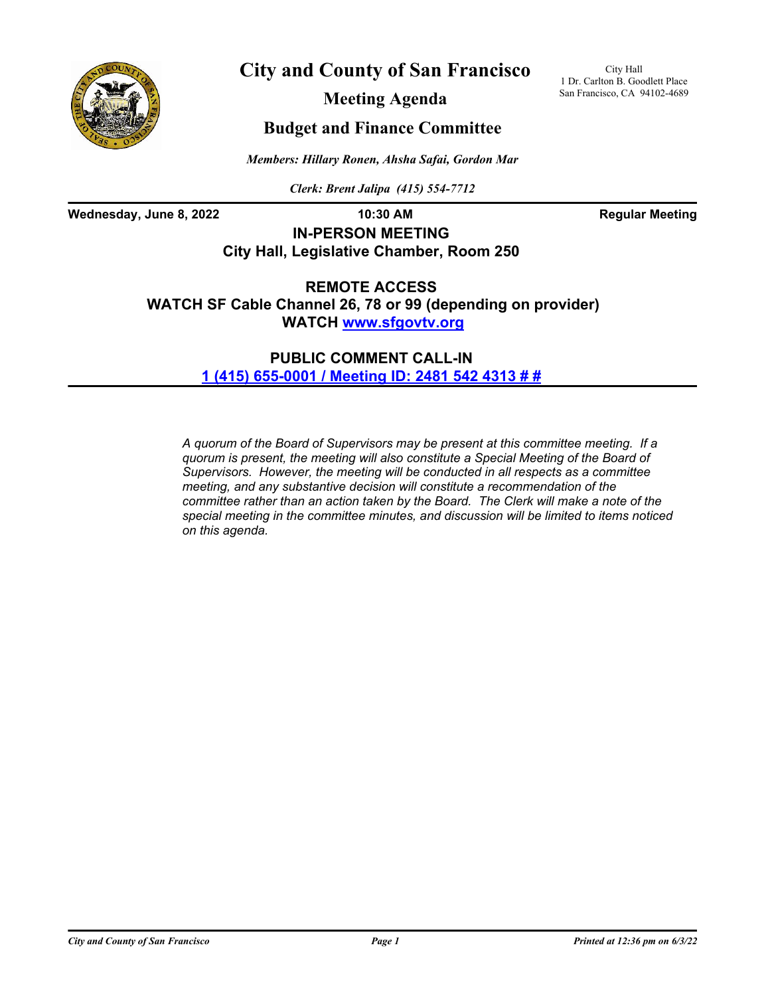

**City and County of San Francisco**

City Hall 1 Dr. Carlton B. Goodlett Place San Francisco, CA 94102-4689

**Meeting Agenda**

# **Budget and Finance Committee**

*Members: Hillary Ronen, Ahsha Safai, Gordon Mar*

*Clerk: Brent Jalipa (415) 554-7712*

Wednesday, June 8, 2022 **10:30 AM Regular Meeting** 

**IN-PERSON MEETING City Hall, Legislative Chamber, Room 250**

**REMOTE ACCESS WATCH SF Cable Channel 26, 78 or 99 (depending on provider) WATCH<www.sfgovtv.org>**

> **PUBLIC COMMENT CALL-IN [1 \(415\) 655-0001 / Meeting ID: 2481 542 4313 # #](tel:+14156550001,,24815424313#,,#)**

*A quorum of the Board of Supervisors may be present at this committee meeting. If a quorum is present, the meeting will also constitute a Special Meeting of the Board of Supervisors. However, the meeting will be conducted in all respects as a committee meeting, and any substantive decision will constitute a recommendation of the committee rather than an action taken by the Board. The Clerk will make a note of the special meeting in the committee minutes, and discussion will be limited to items noticed on this agenda.*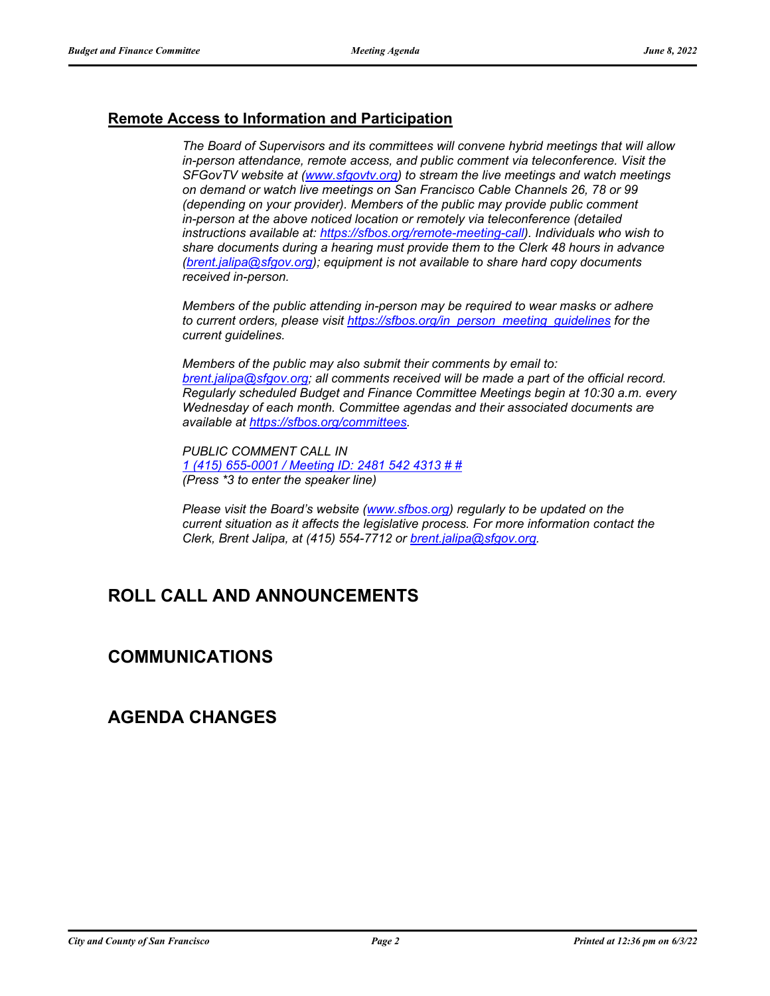## **Remote Access to Information and Participation**

*The Board of Supervisors and its committees will convene hybrid meetings that will allow in-person attendance, remote access, and public comment via teleconference. Visit the SFGovTV website at [\(www.sfgovtv.org\)](www.sfgovtv.org) to stream the live meetings and watch meetings on demand or watch live meetings on San Francisco Cable Channels 26, 78 or 99 (depending on your provider). Members of the public may provide public comment in-person at the above noticed location or remotely via teleconference (detailed instructions available at: [https://sfbos.org/remote-meeting-call\)](https://sfbos.org/remote-meeting-call). Individuals who wish to share documents during a hearing must provide them to the Clerk 48 hours in advance [\(brent.jalipa@sfgov.org\)](mailto:brent.jalipa@sfgov.org); equipment is not available to share hard copy documents received in-person.*

*Members of the public attending in-person may be required to wear masks or adhere to current orders, please visit [https://sfbos.org/in\\_person\\_meeting\\_guidelines](https://sfbos.org/in_person_meeting_guidelines) for the current guidelines.*

*Members of the public may also submit their comments by email to: [brent.jalipa@sfgov.org;](mailto:brent.jalipa@sfgov.org) all comments received will be made a part of the official record. Regularly scheduled Budget and Finance Committee Meetings begin at 10:30 a.m. every Wednesday of each month. Committee agendas and their associated documents are available at [https://sfbos.org/committees.](https://sfbos.org/committees)*

*PUBLIC COMMENT CALL IN [1 \(415\) 655-0001 / Meeting ID: 2481 542 4313 # #](tel:+14156550001,,24815424313#,,#) (Press \*3 to enter the speaker line)*

*Please visit the Board's website [\(www.sfbos.org\)](www.sfbos.org) regularly to be updated on the current situation as it affects the legislative process. For more information contact the Clerk, Brent Jalipa, at (415) 554-7712 or [brent.jalipa@sfgov.org.](mailto:brent.jalipa@sfgov.org)*

# **ROLL CALL AND ANNOUNCEMENTS**

# **COMMUNICATIONS**

# **AGENDA CHANGES**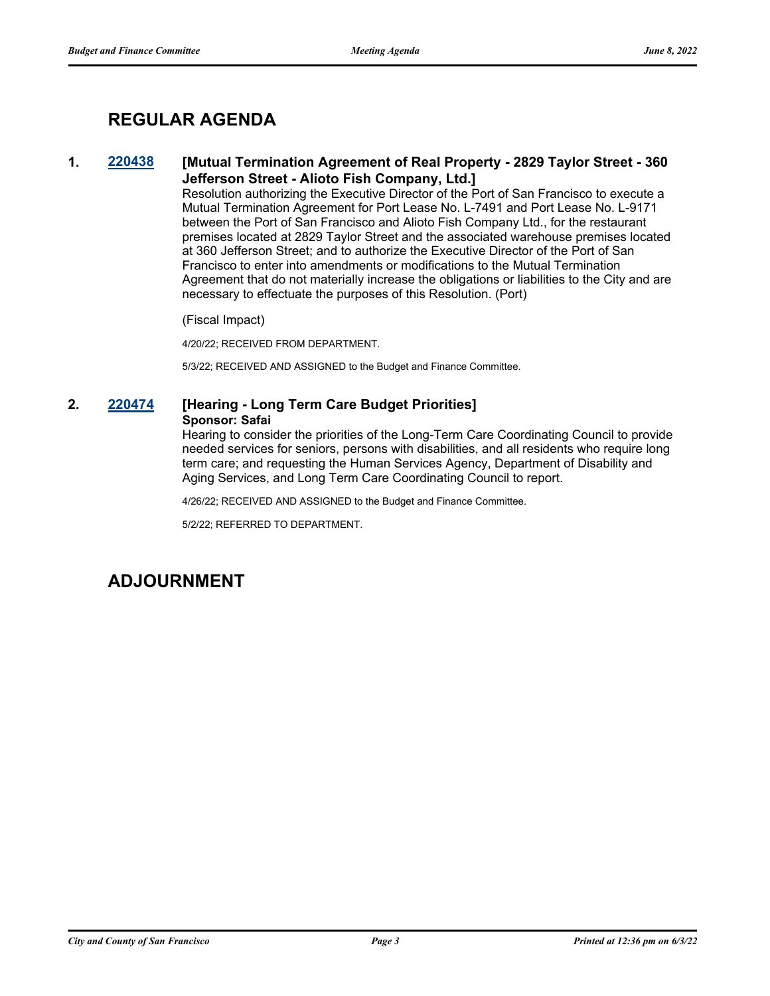# **REGULAR AGENDA**

## **1. [220438](http://sfgov.legistar.com/gateway.aspx?m=l&id=38630) [Mutual Termination Agreement of Real Property - 2829 Taylor Street - 360 Jefferson Street - Alioto Fish Company, Ltd.]**

Resolution authorizing the Executive Director of the Port of San Francisco to execute a Mutual Termination Agreement for Port Lease No. L-7491 and Port Lease No. L-9171 between the Port of San Francisco and Alioto Fish Company Ltd., for the restaurant premises located at 2829 Taylor Street and the associated warehouse premises located at 360 Jefferson Street; and to authorize the Executive Director of the Port of San Francisco to enter into amendments or modifications to the Mutual Termination Agreement that do not materially increase the obligations or liabilities to the City and are necessary to effectuate the purposes of this Resolution. (Port)

### (Fiscal Impact)

4/20/22; RECEIVED FROM DEPARTMENT.

5/3/22; RECEIVED AND ASSIGNED to the Budget and Finance Committee.

## **2. [220474](http://sfgov.legistar.com/gateway.aspx?m=l&id=38666) [Hearing - Long Term Care Budget Priorities] Sponsor: Safai**

Hearing to consider the priorities of the Long-Term Care Coordinating Council to provide needed services for seniors, persons with disabilities, and all residents who require long term care; and requesting the Human Services Agency, Department of Disability and Aging Services, and Long Term Care Coordinating Council to report.

4/26/22; RECEIVED AND ASSIGNED to the Budget and Finance Committee.

5/2/22; REFERRED TO DEPARTMENT.

# **ADJOURNMENT**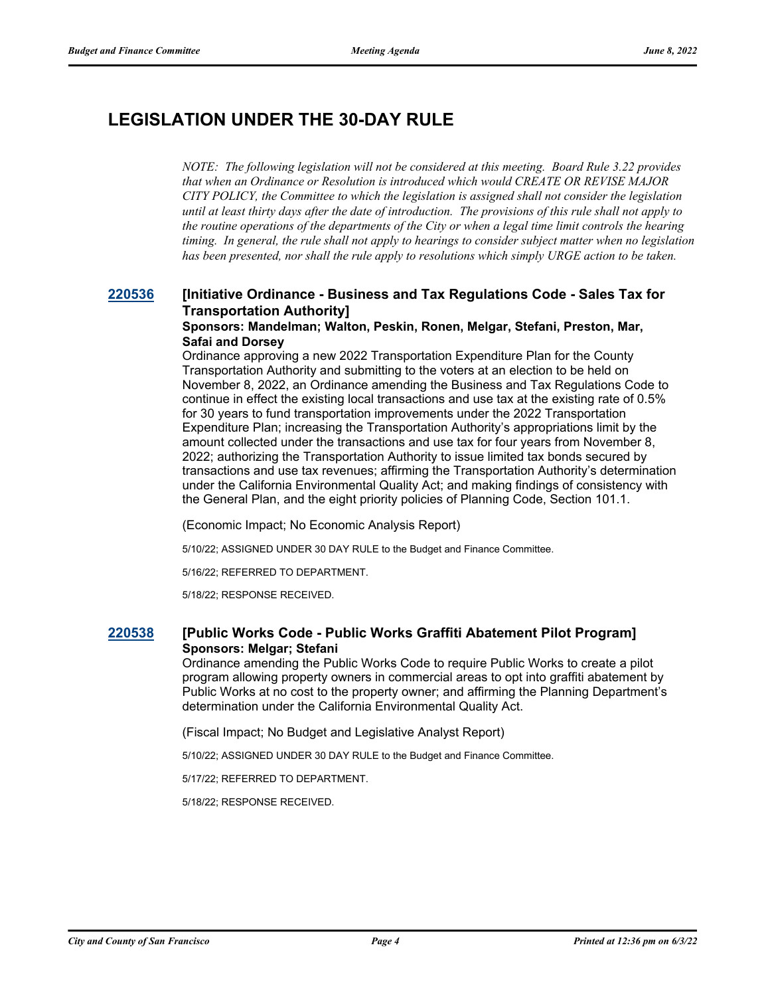# **LEGISLATION UNDER THE 30-DAY RULE**

*NOTE: The following legislation will not be considered at this meeting. Board Rule 3.22 provides that when an Ordinance or Resolution is introduced which would CREATE OR REVISE MAJOR CITY POLICY, the Committee to which the legislation is assigned shall not consider the legislation until at least thirty days after the date of introduction. The provisions of this rule shall not apply to the routine operations of the departments of the City or when a legal time limit controls the hearing timing. In general, the rule shall not apply to hearings to consider subject matter when no legislation has been presented, nor shall the rule apply to resolutions which simply URGE action to be taken.*

## **[220536](http://sfgov.legistar.com/gateway.aspx?m=l&id=38728) [Initiative Ordinance - Business and Tax Regulations Code - Sales Tax for Transportation Authority]**

#### **Sponsors: Mandelman; Walton, Peskin, Ronen, Melgar, Stefani, Preston, Mar, Safai and Dorsey**

Ordinance approving a new 2022 Transportation Expenditure Plan for the County Transportation Authority and submitting to the voters at an election to be held on November 8, 2022, an Ordinance amending the Business and Tax Regulations Code to continue in effect the existing local transactions and use tax at the existing rate of 0.5% for 30 years to fund transportation improvements under the 2022 Transportation Expenditure Plan; increasing the Transportation Authority's appropriations limit by the amount collected under the transactions and use tax for four years from November 8, 2022; authorizing the Transportation Authority to issue limited tax bonds secured by transactions and use tax revenues; affirming the Transportation Authority's determination under the California Environmental Quality Act; and making findings of consistency with the General Plan, and the eight priority policies of Planning Code, Section 101.1.

(Economic Impact; No Economic Analysis Report)

5/10/22; ASSIGNED UNDER 30 DAY RULE to the Budget and Finance Committee.

5/16/22; REFERRED TO DEPARTMENT.

5/18/22; RESPONSE RECEIVED.

## **[220538](http://sfgov.legistar.com/gateway.aspx?m=l&id=38730) [Public Works Code - Public Works Graffiti Abatement Pilot Program] Sponsors: Melgar; Stefani**

Ordinance amending the Public Works Code to require Public Works to create a pilot program allowing property owners in commercial areas to opt into graffiti abatement by Public Works at no cost to the property owner; and affirming the Planning Department's determination under the California Environmental Quality Act.

(Fiscal Impact; No Budget and Legislative Analyst Report)

5/10/22; ASSIGNED UNDER 30 DAY RULE to the Budget and Finance Committee.

5/17/22; REFERRED TO DEPARTMENT.

5/18/22; RESPONSE RECEIVED.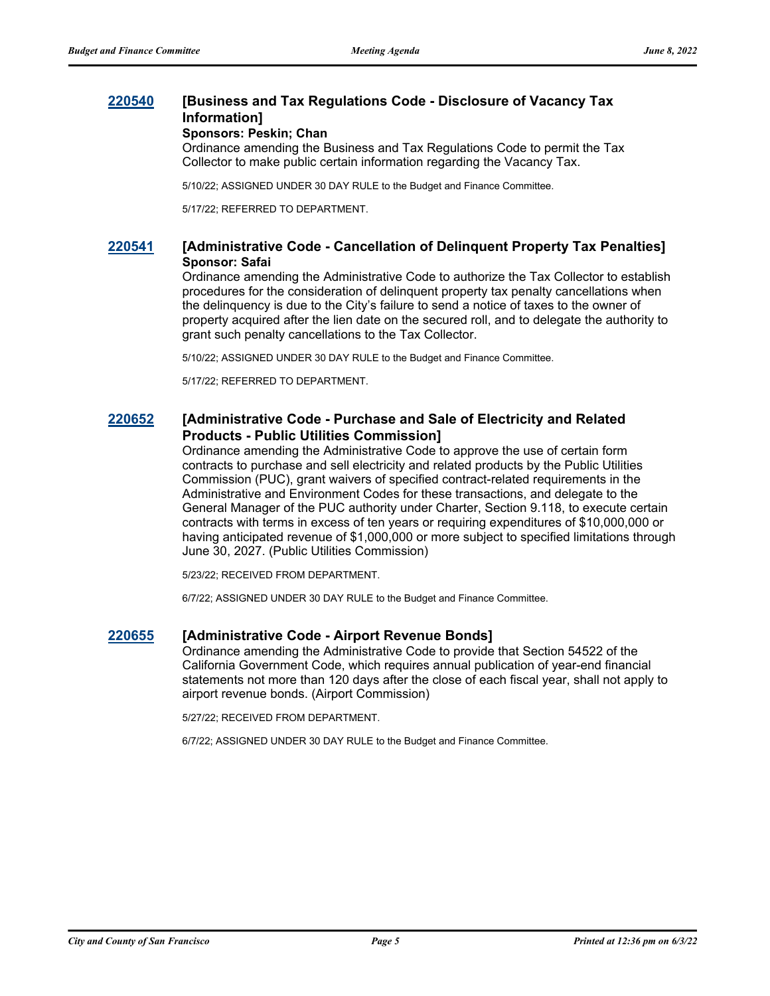## **[220540](http://sfgov.legistar.com/gateway.aspx?m=l&id=38732) [Business and Tax Regulations Code - Disclosure of Vacancy Tax Information]**

#### **Sponsors: Peskin; Chan**

Ordinance amending the Business and Tax Regulations Code to permit the Tax Collector to make public certain information regarding the Vacancy Tax.

5/10/22; ASSIGNED UNDER 30 DAY RULE to the Budget and Finance Committee.

5/17/22; REFERRED TO DEPARTMENT.

## **[220541](http://sfgov.legistar.com/gateway.aspx?m=l&id=38733) [Administrative Code - Cancellation of Delinquent Property Tax Penalties] Sponsor: Safai**

Ordinance amending the Administrative Code to authorize the Tax Collector to establish procedures for the consideration of delinquent property tax penalty cancellations when the delinquency is due to the City's failure to send a notice of taxes to the owner of property acquired after the lien date on the secured roll, and to delegate the authority to grant such penalty cancellations to the Tax Collector.

5/10/22; ASSIGNED UNDER 30 DAY RULE to the Budget and Finance Committee.

5/17/22; REFERRED TO DEPARTMENT.

## **[220652](http://sfgov.legistar.com/gateway.aspx?m=l&id=38844) [Administrative Code - Purchase and Sale of Electricity and Related Products - Public Utilities Commission]**

Ordinance amending the Administrative Code to approve the use of certain form contracts to purchase and sell electricity and related products by the Public Utilities Commission (PUC), grant waivers of specified contract-related requirements in the Administrative and Environment Codes for these transactions, and delegate to the General Manager of the PUC authority under Charter, Section 9.118, to execute certain contracts with terms in excess of ten years or requiring expenditures of \$10,000,000 or having anticipated revenue of \$1,000,000 or more subject to specified limitations through June 30, 2027. (Public Utilities Commission)

5/23/22; RECEIVED FROM DEPARTMENT.

6/7/22; ASSIGNED UNDER 30 DAY RULE to the Budget and Finance Committee.

### **[220655](http://sfgov.legistar.com/gateway.aspx?m=l&id=38847) [Administrative Code - Airport Revenue Bonds]**

Ordinance amending the Administrative Code to provide that Section 54522 of the California Government Code, which requires annual publication of year-end financial statements not more than 120 days after the close of each fiscal year, shall not apply to airport revenue bonds. (Airport Commission)

5/27/22; RECEIVED FROM DEPARTMENT.

6/7/22; ASSIGNED UNDER 30 DAY RULE to the Budget and Finance Committee.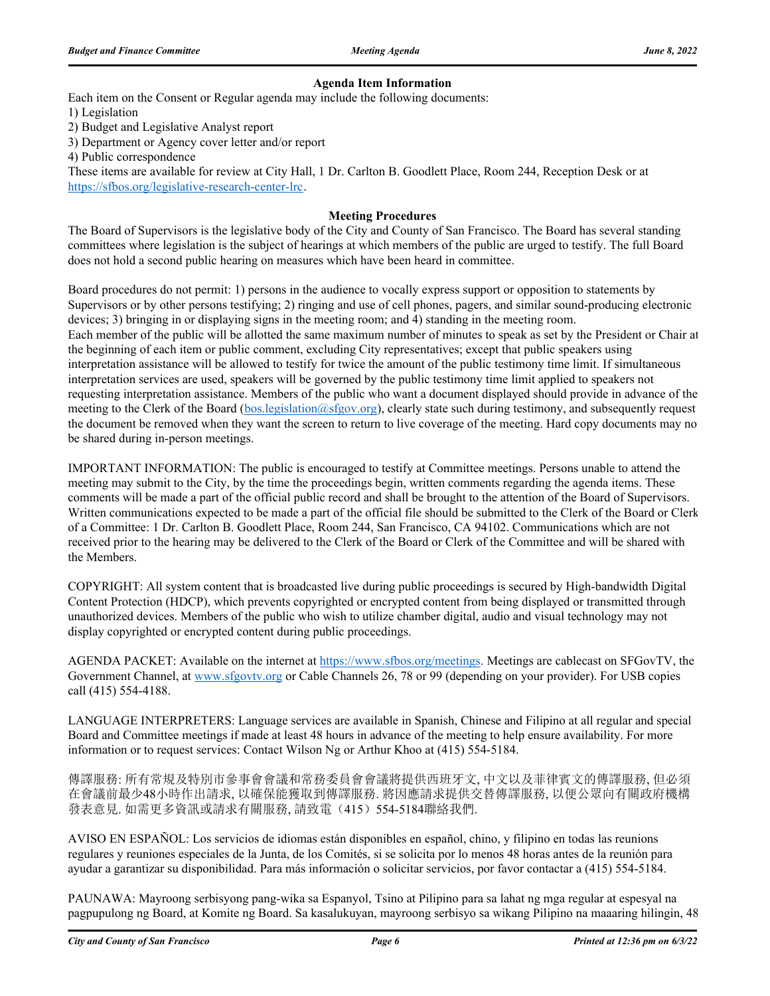### **Agenda Item Information**

Each item on the Consent or Regular agenda may include the following documents:

1) Legislation

2) Budget and Legislative Analyst report

3) Department or Agency cover letter and/or report

4) Public correspondence

These items are available for review at City Hall, 1 Dr. Carlton B. Goodlett Place, Room 244, Reception Desk or at https://sfbos.org/legislative-research-center-lrc.

### **Meeting Procedures**

The Board of Supervisors is the legislative body of the City and County of San Francisco. The Board has several standing committees where legislation is the subject of hearings at which members of the public are urged to testify. The full Board does not hold a second public hearing on measures which have been heard in committee.

Board procedures do not permit: 1) persons in the audience to vocally express support or opposition to statements by Supervisors or by other persons testifying; 2) ringing and use of cell phones, pagers, and similar sound-producing electronic devices; 3) bringing in or displaying signs in the meeting room; and 4) standing in the meeting room. Each member of the public will be allotted the same maximum number of minutes to speak as set by the President or Chair at the beginning of each item or public comment, excluding City representatives; except that public speakers using interpretation assistance will be allowed to testify for twice the amount of the public testimony time limit. If simultaneous interpretation services are used, speakers will be governed by the public testimony time limit applied to speakers not requesting interpretation assistance. Members of the public who want a document displayed should provide in advance of the meeting to the Clerk of the Board (bos.legislation@sfgov.org), clearly state such during testimony, and subsequently request the document be removed when they want the screen to return to live coverage of the meeting. Hard copy documents may no be shared during in-person meetings.

IMPORTANT INFORMATION: The public is encouraged to testify at Committee meetings. Persons unable to attend the meeting may submit to the City, by the time the proceedings begin, written comments regarding the agenda items. These comments will be made a part of the official public record and shall be brought to the attention of the Board of Supervisors. Written communications expected to be made a part of the official file should be submitted to the Clerk of the Board or Clerk of a Committee: 1 Dr. Carlton B. Goodlett Place, Room 244, San Francisco, CA 94102. Communications which are not received prior to the hearing may be delivered to the Clerk of the Board or Clerk of the Committee and will be shared with the Members.

COPYRIGHT: All system content that is broadcasted live during public proceedings is secured by High-bandwidth Digital Content Protection (HDCP), which prevents copyrighted or encrypted content from being displayed or transmitted through unauthorized devices. Members of the public who wish to utilize chamber digital, audio and visual technology may not display copyrighted or encrypted content during public proceedings.

AGENDA PACKET: Available on the internet at https://www.sfbos.org/meetings. Meetings are cablecast on SFGovTV, the Government Channel, at www.sfgovtv.org or Cable Channels 26, 78 or 99 (depending on your provider). For USB copies call (415) 554-4188.

LANGUAGE INTERPRETERS: Language services are available in Spanish, Chinese and Filipino at all regular and special Board and Committee meetings if made at least 48 hours in advance of the meeting to help ensure availability. For more information or to request services: Contact Wilson Ng or Arthur Khoo at (415) 554-5184.

傳譯服務: 所有常規及特別市參事會會議和常務委員會會議將提供西班牙文, 中文以及菲律賓文的傳譯服務, 但必須 在會議前最少48小時作出請求, 以確保能獲取到傳譯服務. 將因應請求提供交替傳譯服務, 以便公眾向有關政府機構 發表意見. 如需更多資訊或請求有關服務, 請致電(415) 554-5184聯絡我們.

AVISO EN ESPAÑOL: Los servicios de idiomas están disponibles en español, chino, y filipino en todas las reunions regulares y reuniones especiales de la Junta, de los Comités, si se solicita por lo menos 48 horas antes de la reunión para ayudar a garantizar su disponibilidad. Para más información o solicitar servicios, por favor contactar a (415) 554-5184.

PAUNAWA: Mayroong serbisyong pang-wika sa Espanyol, Tsino at Pilipino para sa lahat ng mga regular at espesyal na pagpupulong ng Board, at Komite ng Board. Sa kasalukuyan, mayroong serbisyo sa wikang Pilipino na maaaring hilingin, 48